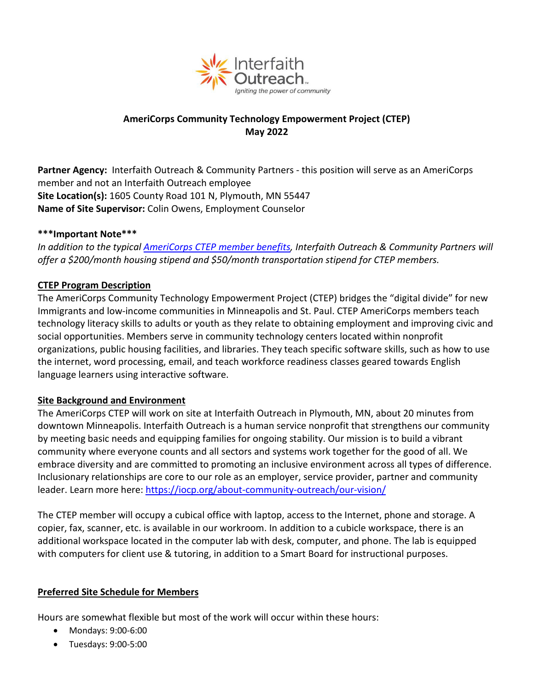

# **AmeriCorps Community Technology Empowerment Project (CTEP) May 2022**

**Partner Agency[:](http://www.iocp.org/)** [Interfaith Outreach & Community Partners](http://www.iocp.org/) - this position will serve as an AmeriCorps [member and not an Interfaith Outreach employee](http://www.iocp.org/) **Site Location(s):** [1605 County Road 101 N,](http://maps.google.com/maps?q=1605+County+Road+101Plymouth,+MN+55447&oe=utf-8&rls=org.mozilla:en-US:official&client=firefox-a&um=1&ie=UTF-8&hl=en&sa=N&tab=wl) Plymouth, MN 55447 **Name of Site Supervisor:** Colin Owens, Employment Counselor

### **\*\*\*Important Note\*\*\***

*In addition to the typical [AmeriCorps CTEP member benefits,](https://www.spnn.org/ctep/position-descriptions) Interfaith Outreach & Community Partners will offer a \$200/month housing stipend and \$50/month transportation stipend for CTEP members.*

#### **CTEP Program Description**

The AmeriCorps Community Technology Empowerment Project (CTEP) bridges the "digital divide" for new Immigrants and low-income communities in Minneapolis and St. Paul. CTEP AmeriCorps members teach technology literacy skills to adults or youth as they relate to obtaining employment and improving civic and social opportunities. Members serve in community technology centers located within nonprofit organizations, public housing facilities, and libraries. They teach specific software skills, such as how to use the internet, word processing, email, and teach workforce readiness classes geared towards English language learners using interactive software.

#### **Site Background and Environment**

The AmeriCorps CTEP will work on site at Interfaith Outreach in Plymouth, MN, about 20 minutes from downtown Minneapolis. Interfaith Outreach is a human service nonprofit that strengthens our community by meeting basic needs and equipping families for ongoing stability. Our mission is to build a vibrant community where everyone counts and all sectors and systems work together for the good of all. We embrace diversity and are committed to promoting an inclusive environment across all types of difference. Inclusionary relationships are core to our role as an employer, service provider, partner and community leader. Learn more here:<https://iocp.org/about-community-outreach/our-vision/>

The CTEP member will occupy a cubical office with laptop, access to the Internet, phone and storage. A copier, fax, scanner, etc. is available in our workroom. In addition to a cubicle workspace, there is an additional workspace located in the computer lab with desk, computer, and phone. The lab is equipped with computers for client use & tutoring, in addition to a Smart Board for instructional purposes.

#### **Preferred Site Schedule for Members**

Hours are somewhat flexible but most of the work will occur within these hours:

- Mondays: 9:00-6:00
- Tuesdays: 9:00-5:00